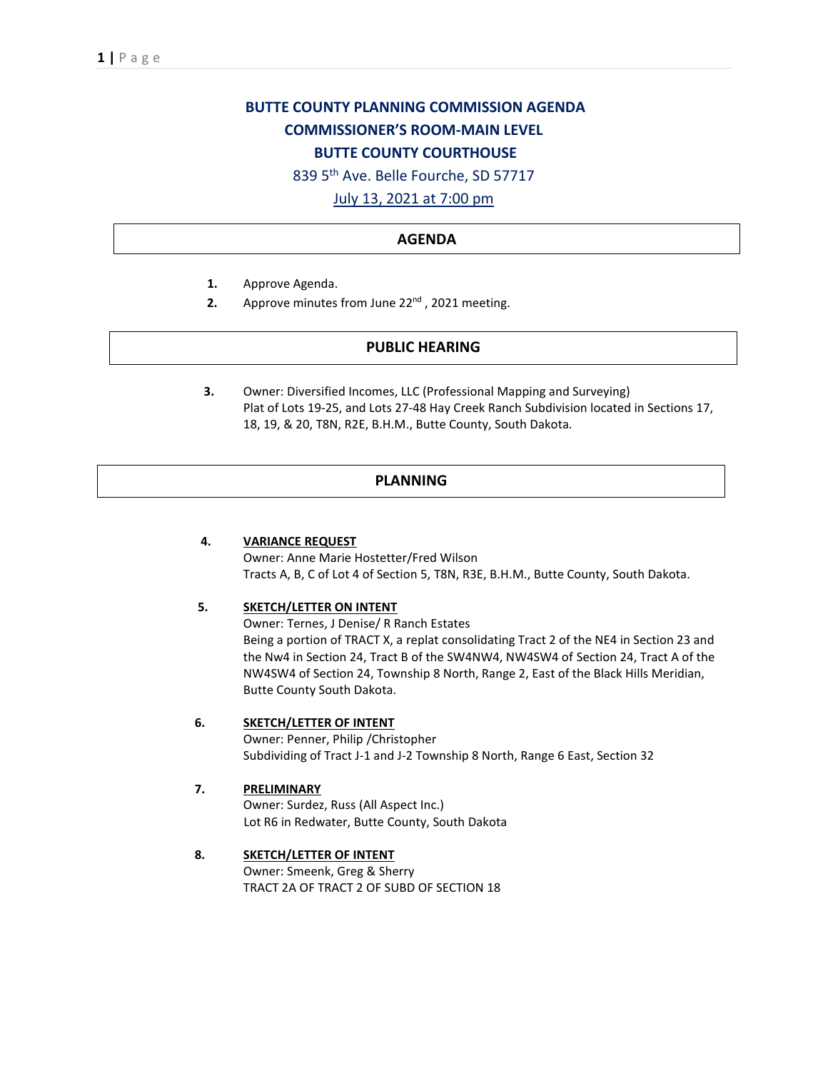# **BUTTE COUNTY PLANNING COMMISSION AGENDA COMMISSIONER'S ROOM-MAIN LEVEL BUTTE COUNTY COURTHOUSE**

839 5th Ave. Belle Fourche, SD 57717

July 13, 2021 at 7:00 pm

# **AGENDA**

- **1.** Approve Agenda.
- **2.** Approve minutes from June 22<sup>nd</sup>, 2021 meeting.

## **PUBLIC HEARING**

**3.** Owner: Diversified Incomes, LLC (Professional Mapping and Surveying) Plat of Lots 19-25, and Lots 27-48 Hay Creek Ranch Subdivision located in Sections 17, 18, 19, & 20, T8N, R2E, B.H.M., Butte County, South Dakota.

## **PLANNING**

#### **4. VARIANCE REQUEST**

Owner: Anne Marie Hostetter/Fred Wilson Tracts A, B, C of Lot 4 of Section 5, T8N, R3E, B.H.M., Butte County, South Dakota.

#### **5. SKETCH/LETTER ON INTENT**

Owner: Ternes, J Denise/ R Ranch Estates Being a portion of TRACT X, a replat consolidating Tract 2 of the NE4 in Section 23 and the Nw4 in Section 24, Tract B of the SW4NW4, NW4SW4 of Section 24, Tract A of the NW4SW4 of Section 24, Township 8 North, Range 2, East of the Black Hills Meridian, Butte County South Dakota.

# **6. SKETCH/LETTER OF INTENT**

Owner: Penner, Philip /Christopher Subdividing of Tract J-1 and J-2 Township 8 North, Range 6 East, Section 32

#### **7. PRELIMINARY**

Owner: Surdez, Russ (All Aspect Inc.) Lot R6 in Redwater, Butte County, South Dakota

# **8. SKETCH/LETTER OF INTENT**

Owner: Smeenk, Greg & Sherry TRACT 2A OF TRACT 2 OF SUBD OF SECTION 18